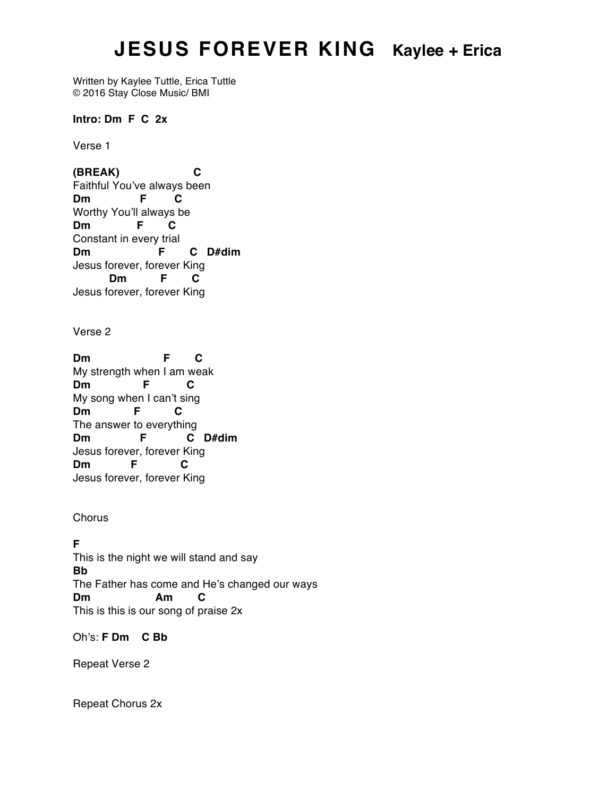## **JESUS FOREVER KING Kaylee + Erica**

Written by Kaylee Tuttle, Erica Tuttle © 2016 Stay Close Music/ BMI

**Intro: Dm F C 2x**

Verse 1

**(BREAK) C** Faithful You've always been **Dm F C** Worthy You'll always be **Dm F C** Constant in every trial **Dm F C D#dim** Jesus forever, forever King **Dm F C** Jesus forever, forever King

Verse 2

**Dm F C** My strength when I am weak **Dm F C** My song when I can't sing **Dm F C** The answer to everything **Dm F C D#dim** Jesus forever, forever King **Dm F C** Jesus forever, forever King

**Chorus** 

## **F**

This is the night we will stand and say **Bb** The Father has come and He's changed our ways **Dm Am C** This is this is our song of praise 2x

Oh's: **F Dm C Bb**

Repeat Verse 2

Repeat Chorus 2x